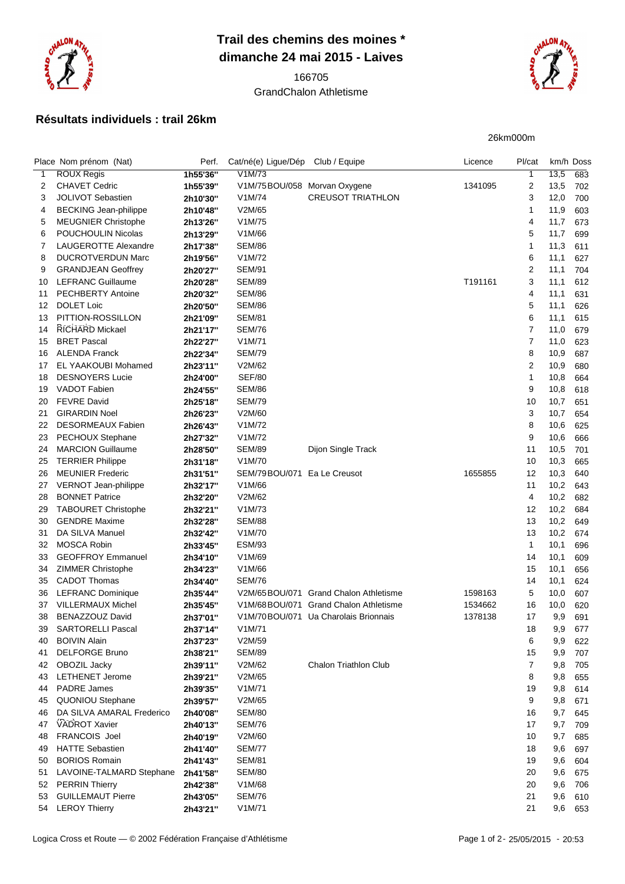

## **Trail des chemins des moines \* dimanche 24 mai 2015 - Laives**

## GrandChalon Athletisme



## **Résultats individuels : trail 26km**

26km000m

|                | Place Nom prénom (Nat)       | Perf.    | Cat/né(e) Ligue/Dép Club / Equipe |                                       | Licence | Pl/cat         |      | km/h Doss |
|----------------|------------------------------|----------|-----------------------------------|---------------------------------------|---------|----------------|------|-----------|
| 1              | <b>ROUX Regis</b>            | 1h55'36" | V1M/73                            |                                       |         | $\mathbf{1}$   | 13,5 | 683       |
| 2              | <b>CHAVET Cedric</b>         | 1h55'39" | V1M/75BOU/058 Morvan Oxygene      |                                       | 1341095 | 2              | 13,5 | 702       |
| 3              | JOLIVOT Sebastien            | 2h10'30" | V1M/74                            | <b>CREUSOT TRIATHLON</b>              |         | 3              | 12,0 | 700       |
| 4              | <b>BECKING Jean-philippe</b> | 2h10'48" | V2M/65                            |                                       |         | 1              | 11,9 | 603       |
| 5              | <b>MEUGNIER Christophe</b>   | 2h13'26" | V1M/75                            |                                       |         | 4              | 11,7 | 673       |
| 6              | <b>POUCHOULIN Nicolas</b>    | 2h13'29" | V1M/66                            |                                       |         | 5              | 11,7 | 699       |
| $\overline{7}$ | LAUGEROTTE Alexandre         | 2h17'38" | <b>SEM/86</b>                     |                                       |         | 1              | 11,3 | 611       |
|                | <b>DUCROTVERDUN Marc</b>     |          |                                   |                                       |         |                |      |           |
| 8              |                              | 2h19'56" | V <sub>1</sub> M/72               |                                       |         | 6              | 11,1 | 627       |
| 9              | <b>GRANDJEAN Geoffrey</b>    | 2h20'27" | <b>SEM/91</b>                     |                                       |         | 2              | 11,1 | 704       |
| 10             | <b>LEFRANC Guillaume</b>     | 2h20'28" | <b>SEM/89</b>                     |                                       | T191161 | 3              | 11,1 | 612       |
| 11             | PECHBERTY Antoine            | 2h20'32" | SEM/86                            |                                       |         | 4              | 11,1 | 631       |
| 12             | <b>DOLET Loic</b>            | 2h20'50" | <b>SEM/86</b>                     |                                       |         | 5              | 11,1 | 626       |
| 13             | PITTION-ROSSILLON            | 2h21'09" | <b>SEM/81</b>                     |                                       |         | 6              | 11,1 | 615       |
| 14             | RICHARD Mickael              | 2h21'17" | <b>SEM/76</b>                     |                                       |         | $\overline{7}$ | 11,0 | 679       |
| 15             | <b>BRET Pascal</b>           | 2h22'27" | V1M/71                            |                                       |         | 7              | 11,0 | 623       |
| 16             | <b>ALENDA Franck</b>         | 2h22'34" | <b>SEM/79</b>                     |                                       |         | 8              | 10,9 | 687       |
| 17             | EL YAAKOUBI Mohamed          | 2h23'11" | V2M/62                            |                                       |         | 2              | 10,9 | 680       |
| 18             | <b>DESNOYERS Lucie</b>       | 2h24'00" | <b>SEF/80</b>                     |                                       |         | 1              | 10,8 | 664       |
| 19             | VADOT Fabien                 | 2h24'55" | <b>SEM/86</b>                     |                                       |         | 9              | 10,8 | 618       |
| 20             | <b>FEVRE David</b>           | 2h25'18" | <b>SEM/79</b>                     |                                       |         | 10             | 10,7 | 651       |
| 21             | <b>GIRARDIN Noel</b>         | 2h26'23" | V2M/60                            |                                       |         | 3              | 10,7 | 654       |
| 22             | <b>DESORMEAUX Fabien</b>     | 2h26'43" | V1M/72                            |                                       |         | 8              | 10,6 | 625       |
| 23             | PECHOUX Stephane             | 2h27'32" | V1M/72                            |                                       |         | 9              | 10,6 | 666       |
| 24             | <b>MARCION Guillaume</b>     | 2h28'50" | <b>SEM/89</b>                     | Dijon Single Track                    |         | 11             | 10,5 | 701       |
|                |                              |          | V1M/70                            |                                       |         | 10             |      |           |
| 25             | <b>TERRIER Philippe</b>      | 2h31'18" |                                   |                                       |         |                | 10,3 | 665       |
| 26             | <b>MEUNIER Frederic</b>      | 2h31'51" | SEM/79BOU/071                     | Ea Le Creusot                         | 1655855 | 12             | 10,3 | 640       |
| 27             | VERNOT Jean-philippe         | 2h32'17" | V1M/66                            |                                       |         | 11             | 10,2 | 643       |
| 28             | <b>BONNET Patrice</b>        | 2h32'20" | V2M/62                            |                                       |         | 4              | 10,2 | 682       |
| 29             | TABOURET Christophe          | 2h32'21" | V1M/73                            |                                       |         | 12             | 10,2 | 684       |
| 30             | <b>GENDRE Maxime</b>         | 2h32'28" | <b>SEM/88</b>                     |                                       |         | 13             | 10,2 | 649       |
| 31             | DA SILVA Manuel              | 2h32'42" | V1M/70                            |                                       |         | 13             | 10,2 | 674       |
| 32             | <b>MOSCA Robin</b>           | 2h33'45" | <b>ESM/93</b>                     |                                       |         | 1              | 10,1 | 696       |
| 33             | <b>GEOFFROY Emmanuel</b>     | 2h34'10" | V1M/69                            |                                       |         | 14             | 10,1 | 609       |
| 34             | ZIMMER Christophe            | 2h34'23" | V1M/66                            |                                       |         | 15             | 10,1 | 656       |
| 35             | <b>CADOT Thomas</b>          | 2h34'40" | <b>SEM/76</b>                     |                                       |         | 14             | 10,1 | 624       |
| 36             | LEFRANC Dominique            | 2h35'44" |                                   | V2M/65BOU/071 Grand Chalon Athletisme | 1598163 | 5              | 10,0 | 607       |
| 37             | VILLERMAUX Michel            | 2h35'45" |                                   | V1M/68BOU/071 Grand Chalon Athletisme | 1534662 | 16             | 10,0 | 620       |
| 38             | BENAZZOUZ David              | 2h37'01" |                                   | V1M/70BOU/071 Ua Charolais Brionnais  | 1378138 | 17             | 9,9  | 691       |
| 39             | <b>SARTORELLI Pascal</b>     | 2h37'14" | V1M/71                            |                                       |         | 18             | 9,9  | 677       |
| 40             | <b>BOIVIN Alain</b>          | 2h37'23" | V2M/59                            |                                       |         | 6              | 9,9  | 622       |
| 41             | <b>DELFORGE Bruno</b>        | 2h38'21" | SEM/89                            |                                       |         | 15             | 9,9  | 707       |
| 42             | OBOZIL Jacky                 | 2h39'11" | V2M/62                            | Chalon Triathlon Club                 |         | 7              | 9,8  | 705       |
| 43             | <b>LETHENET Jerome</b>       |          | V2M/65                            |                                       |         | 8              |      |           |
|                | PADRE James                  | 2h39'21" | V1M/71                            |                                       |         |                | 9,8  | 655       |
| 44             |                              | 2h39'35" |                                   |                                       |         | 19             | 9,8  | 614       |
| 45             | QUONIOU Stephane             | 2h39'57" | V2M/65                            |                                       |         | 9              | 9,8  | 671       |
| 46             | DA SILVA AMARAL Frederico    | 2h40'08" | <b>SEM/80</b>                     |                                       |         | 16             | 9,7  | 645       |
| 47             | VADROT Xavier                | 2h40'13" | <b>SEM/76</b>                     |                                       |         | 17             | 9,7  | 709       |
| 48             | FRANCOIS Joel                | 2h40'19" | V2M/60                            |                                       |         | 10             | 9,7  | 685       |
| 49             | <b>HATTE Sebastien</b>       | 2h41'40" | <b>SEM/77</b>                     |                                       |         | 18             | 9,6  | 697       |
| 50             | <b>BORIOS Romain</b>         | 2h41'43" | <b>SEM/81</b>                     |                                       |         | 19             | 9,6  | 604       |
| 51             | LAVOINE-TALMARD Stephane     | 2h41'58" | <b>SEM/80</b>                     |                                       |         | 20             | 9,6  | 675       |
| 52             | <b>PERRIN Thierry</b>        | 2h42'38" | V1M/68                            |                                       |         | 20             | 9,6  | 706       |
| 53             | <b>GUILLEMAUT Pierre</b>     | 2h43'05" | <b>SEM/76</b>                     |                                       |         | 21             | 9,6  | 610       |
| 54             | <b>LEROY Thierry</b>         | 2h43'21" | V1M/71                            |                                       |         | 21             | 9,6  | 653       |
|                |                              |          |                                   |                                       |         |                |      |           |